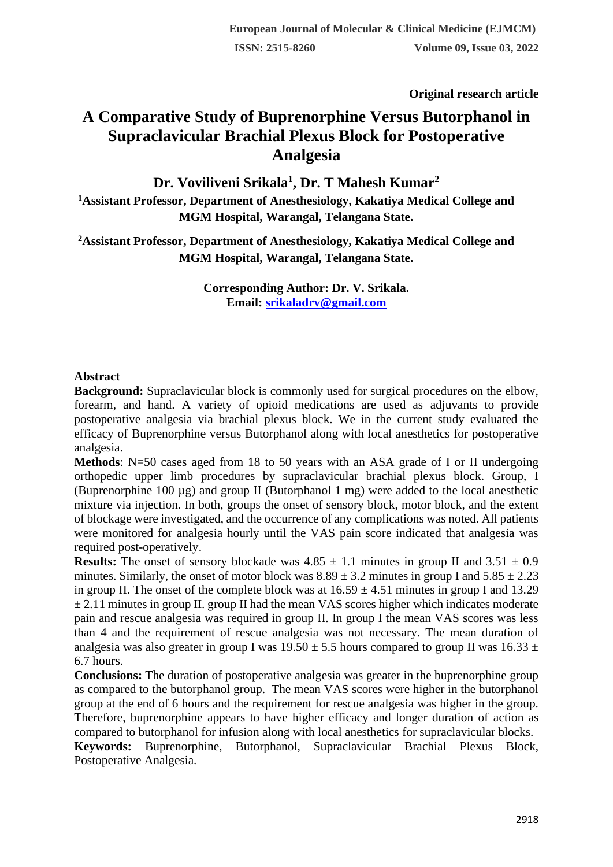**Original research article** 

# **A Comparative Study of Buprenorphine Versus Butorphanol in Supraclavicular Brachial Plexus Block for Postoperative Analgesia**

**Dr. Voviliveni Srikala<sup>1</sup> , Dr. T Mahesh Kumar<sup>2</sup>**

**<sup>1</sup>Assistant Professor, Department of Anesthesiology, Kakatiya Medical College and MGM Hospital, Warangal, Telangana State.**

**<sup>2</sup>Assistant Professor, Department of Anesthesiology, Kakatiya Medical College and MGM Hospital, Warangal, Telangana State.**

> **Corresponding Author: Dr. V. Srikala. Email: [srikaladrv@gmail.com](mailto:srikaladrv@gmail.com)**

## **Abstract**

**Background:** Supraclavicular block is commonly used for surgical procedures on the elbow, forearm, and hand. A variety of opioid medications are used as adjuvants to provide postoperative analgesia via brachial plexus block. We in the current study evaluated the efficacy of Buprenorphine versus Butorphanol along with local anesthetics for postoperative analgesia.

**Methods**: N=50 cases aged from 18 to 50 years with an ASA grade of I or II undergoing orthopedic upper limb procedures by supraclavicular brachial plexus block. Group, I (Buprenorphine 100 µg) and group II (Butorphanol 1 mg) were added to the local anesthetic mixture via injection. In both, groups the onset of sensory block, motor block, and the extent of blockage were investigated, and the occurrence of any complications was noted. All patients were monitored for analgesia hourly until the VAS pain score indicated that analgesia was required post-operatively.

**Results:** The onset of sensory blockade was  $4.85 \pm 1.1$  minutes in group II and  $3.51 \pm 0.9$ minutes. Similarly, the onset of motor block was  $8.89 \pm 3.2$  minutes in group I and  $5.85 \pm 2.23$ in group II. The onset of the complete block was at  $16.59 \pm 4.51$  minutes in group I and 13.29  $\pm$  2.11 minutes in group II. group II had the mean VAS scores higher which indicates moderate pain and rescue analgesia was required in group II. In group I the mean VAS scores was less than 4 and the requirement of rescue analgesia was not necessary. The mean duration of analgesia was also greater in group I was  $19.50 \pm 5.5$  hours compared to group II was  $16.33 \pm 10.5$ 6.7 hours.

**Conclusions:** The duration of postoperative analgesia was greater in the buprenorphine group as compared to the butorphanol group. The mean VAS scores were higher in the butorphanol group at the end of 6 hours and the requirement for rescue analgesia was higher in the group. Therefore, buprenorphine appears to have higher efficacy and longer duration of action as compared to butorphanol for infusion along with local anesthetics for supraclavicular blocks.

**Keywords:** Buprenorphine, Butorphanol, Supraclavicular Brachial Plexus Block, Postoperative Analgesia.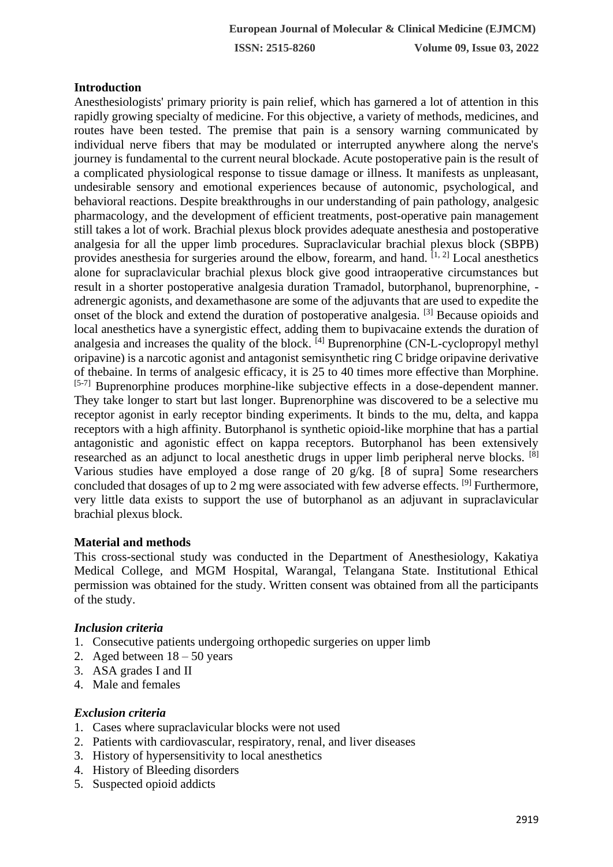# **Introduction**

Anesthesiologists' primary priority is pain relief, which has garnered a lot of attention in this rapidly growing specialty of medicine. For this objective, a variety of methods, medicines, and routes have been tested. The premise that pain is a sensory warning communicated by individual nerve fibers that may be modulated or interrupted anywhere along the nerve's journey is fundamental to the current neural blockade. Acute postoperative pain is the result of a complicated physiological response to tissue damage or illness. It manifests as unpleasant, undesirable sensory and emotional experiences because of autonomic, psychological, and behavioral reactions. Despite breakthroughs in our understanding of pain pathology, analgesic pharmacology, and the development of efficient treatments, post-operative pain management still takes a lot of work. Brachial plexus block provides adequate anesthesia and postoperative analgesia for all the upper limb procedures. Supraclavicular brachial plexus block (SBPB) provides anesthesia for surgeries around the elbow, forearm, and hand.  $[1, 2]$  Local anesthetics alone for supraclavicular brachial plexus block give good intraoperative circumstances but result in a shorter postoperative analgesia duration Tramadol, butorphanol, buprenorphine, adrenergic agonists, and dexamethasone are some of the adjuvants that are used to expedite the onset of the block and extend the duration of postoperative analgesia. [3] Because opioids and local anesthetics have a synergistic effect, adding them to bupivacaine extends the duration of analgesia and increases the quality of the block.  $[4]$  Buprenorphine (CN-L-cyclopropyl methyl oripavine) is a narcotic agonist and antagonist semisynthetic ring C bridge oripavine derivative of thebaine. In terms of analgesic efficacy, it is 25 to 40 times more effective than Morphine. [5-7] Buprenorphine produces morphine-like subjective effects in a dose-dependent manner. They take longer to start but last longer. Buprenorphine was discovered to be a selective mu receptor agonist in early receptor binding experiments. It binds to the mu, delta, and kappa receptors with a high affinity. Butorphanol is synthetic opioid-like morphine that has a partial antagonistic and agonistic effect on kappa receptors. Butorphanol has been extensively researched as an adjunct to local anesthetic drugs in upper limb peripheral nerve blocks. [8] Various studies have employed a dose range of 20 g/kg. [8 of supra] Some researchers concluded that dosages of up to 2 mg were associated with few adverse effects. [9] Furthermore, very little data exists to support the use of butorphanol as an adjuvant in supraclavicular brachial plexus block.

## **Material and methods**

This cross-sectional study was conducted in the Department of Anesthesiology, Kakatiya Medical College, and MGM Hospital, Warangal, Telangana State. Institutional Ethical permission was obtained for the study. Written consent was obtained from all the participants of the study.

## *Inclusion criteria*

- 1. Consecutive patients undergoing orthopedic surgeries on upper limb
- 2. Aged between  $18 50$  years
- 3. ASA grades I and II
- 4. Male and females

## *Exclusion criteria*

- 1. Cases where supraclavicular blocks were not used
- 2. Patients with cardiovascular, respiratory, renal, and liver diseases
- 3. History of hypersensitivity to local anesthetics
- 4. History of Bleeding disorders
- 5. Suspected opioid addicts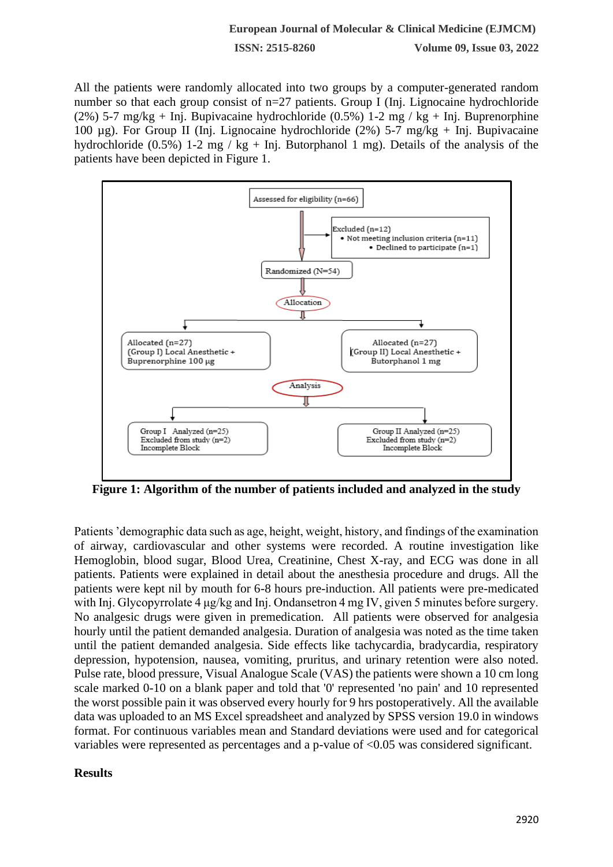#### **European Journal of Molecular & Clinical Medicine (EJMCM)**

**ISSN: 2515-8260 Volume 09, Issue 03, 2022**

All the patients were randomly allocated into two groups by a computer-generated random number so that each group consist of n=27 patients. Group I (Inj. Lignocaine hydrochloride (2%) 5-7 mg/kg + Inj. Bupivacaine hydrochloride (0.5%) 1-2 mg / kg + Inj. Buprenorphine 100 µg). For Group II (Inj. Lignocaine hydrochloride (2%) 5-7 mg/kg + Inj. Bupivacaine hydrochloride (0.5%) 1-2 mg / kg + Inj. Butorphanol 1 mg). Details of the analysis of the patients have been depicted in Figure 1.



**Figure 1: Algorithm of the number of patients included and analyzed in the study**

Patients 'demographic data such as age, height, weight, history, and findings of the examination of airway, cardiovascular and other systems were recorded. A routine investigation like Hemoglobin, blood sugar, Blood Urea, Creatinine, Chest X-ray, and ECG was done in all patients. Patients were explained in detail about the anesthesia procedure and drugs. All the patients were kept nil by mouth for 6-8 hours pre-induction. All patients were pre-medicated with Inj. Glycopyrrolate 4 μg/kg and Inj. Ondansetron 4 mg IV, given 5 minutes before surgery. No analgesic drugs were given in premedication. All patients were observed for analgesia hourly until the patient demanded analgesia. Duration of analgesia was noted as the time taken until the patient demanded analgesia. Side effects like tachycardia, bradycardia, respiratory depression, hypotension, nausea, vomiting, pruritus, and urinary retention were also noted. Pulse rate, blood pressure, Visual Analogue Scale (VAS) the patients were shown a 10 cm long scale marked 0-10 on a blank paper and told that '0' represented 'no pain' and 10 represented the worst possible pain it was observed every hourly for 9 hrs postoperatively. All the available data was uploaded to an MS Excel spreadsheet and analyzed by SPSS version 19.0 in windows format. For continuous variables mean and Standard deviations were used and for categorical variables were represented as percentages and a p-value of <0.05 was considered significant.

#### **Results**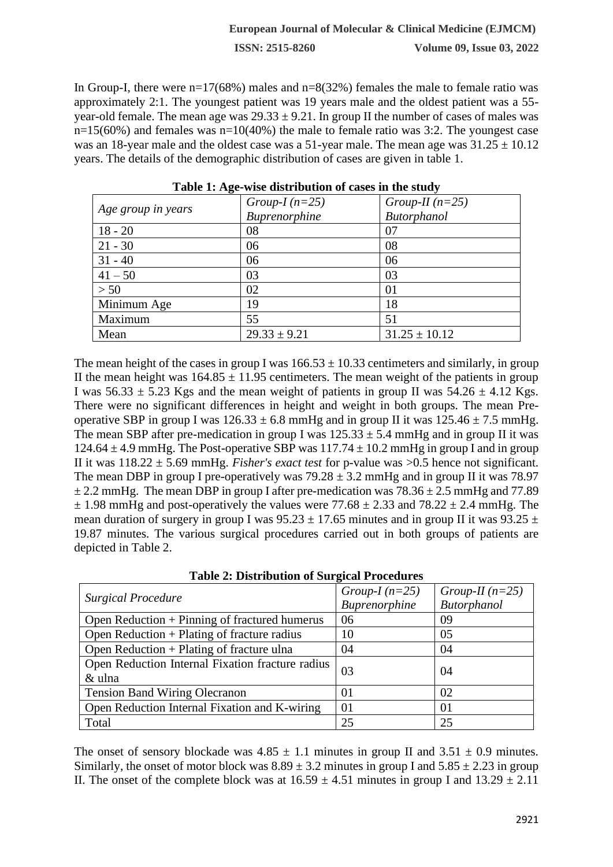In Group-I, there were  $n=17(68%)$  males and  $n=8(32%)$  females the male to female ratio was approximately 2:1. The youngest patient was 19 years male and the oldest patient was a 55 year-old female. The mean age was  $29.33 \pm 9.21$ . In group II the number of cases of males was  $n=15(60%)$  and females was  $n=10(40%)$  the male to female ratio was 3:2. The youngest case was an 18-year male and the oldest case was a 51-year male. The mean age was  $31.25 \pm 10.12$ years. The details of the demographic distribution of cases are given in table 1.

| Age group in years | Group-I $(n=25)$ | Group-II $(n=25)$ |  |
|--------------------|------------------|-------------------|--|
|                    | Buprenorphine    | Butorphanol       |  |
| $18 - 20$          | 08               | 07                |  |
| $21 - 30$          | 06               | 08                |  |
| $31 - 40$          | 06               | 06                |  |
| $41 - 50$          | 03               | 03                |  |
| > 50               | 02               | 01                |  |
| Minimum Age        | 19               | 18                |  |
| Maximum            | 55               | 51                |  |
| Mean               | $29.33 \pm 9.21$ | $31.25 \pm 10.12$ |  |

**Table 1: Age-wise distribution of cases in the study**

The mean height of the cases in group I was  $166.53 \pm 10.33$  centimeters and similarly, in group II the mean height was  $164.85 \pm 11.95$  centimeters. The mean weight of the patients in group I was  $56.33 \pm 5.23$  Kgs and the mean weight of patients in group II was  $54.26 \pm 4.12$  Kgs. There were no significant differences in height and weight in both groups. The mean Preoperative SBP in group I was  $126.33 \pm 6.8$  mmHg and in group II it was  $125.46 \pm 7.5$  mmHg. The mean SBP after pre-medication in group I was  $125.33 \pm 5.4$  mmHg and in group II it was 124.64  $\pm$  4.9 mmHg. The Post-operative SBP was 117.74  $\pm$  10.2 mmHg in group I and in group II it was 118.22 ± 5.69 mmHg. *Fisher's exact test* for p-value was >0.5 hence not significant. The mean DBP in group I pre-operatively was  $79.28 \pm 3.2$  mmHg and in group II it was 78.97  $\pm$  2.2 mmHg. The mean DBP in group I after pre-medication was  $78.36 \pm 2.5$  mmHg and  $77.89$  $\pm$  1.98 mmHg and post-operatively the values were 77.68  $\pm$  2.33 and 78.22  $\pm$  2.4 mmHg. The mean duration of surgery in group I was  $95.23 \pm 17.65$  minutes and in group II it was  $93.25 \pm 17.65$ 19.87 minutes. The various surgical procedures carried out in both groups of patients are depicted in Table 2.

| <b>Table 2: Distribution of Surgical Procedures</b> |                       |  |
|-----------------------------------------------------|-----------------------|--|
|                                                     | $G$ roun- $I(n-25)$ ( |  |

| <b>Surgical Procedure</b>                        | Group-I $(n=25)$ | Group-II $(n=25)$ |
|--------------------------------------------------|------------------|-------------------|
|                                                  | Buprenorphine    | Butorphanol       |
| Open Reduction $+$ Pinning of fractured humerus  | 06               | 09                |
| Open Reduction $+$ Plating of fracture radius    | 10               | 05                |
| Open Reduction $+$ Plating of fracture ulna      | 04               | 04                |
| Open Reduction Internal Fixation fracture radius | 03               | 04                |
| & ulna                                           |                  |                   |
| <b>Tension Band Wiring Olecranon</b>             | 01               | 02                |
| Open Reduction Internal Fixation and K-wiring    | 01               | $\Omega$          |
| Total                                            | 25               | 25                |

The onset of sensory blockade was  $4.85 \pm 1.1$  minutes in group II and  $3.51 \pm 0.9$  minutes. Similarly, the onset of motor block was  $8.89 \pm 3.2$  minutes in group I and  $5.85 \pm 2.23$  in group II. The onset of the complete block was at  $16.59 \pm 4.51$  minutes in group I and  $13.29 \pm 2.11$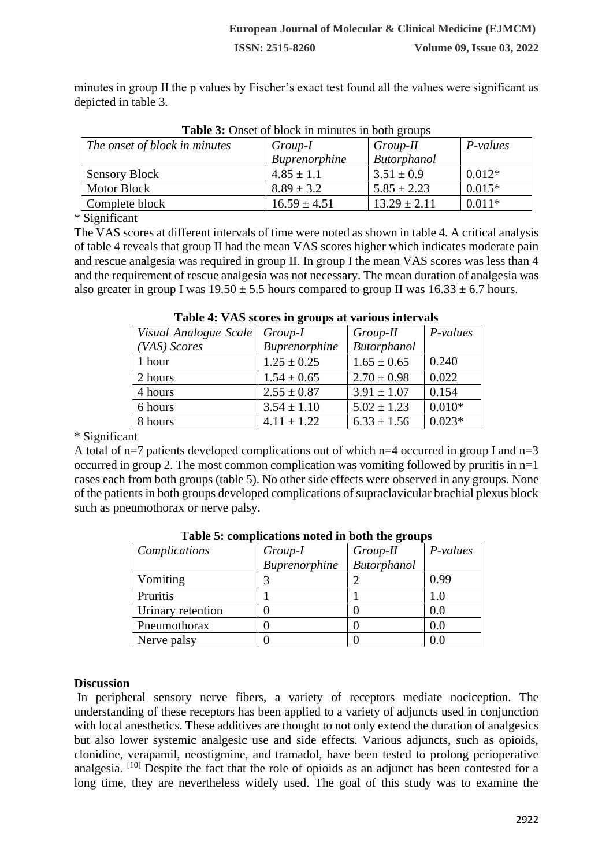minutes in group II the p values by Fischer's exact test found all the values were significant as depicted in table 3.

| <b>Table 5:</b> Onset of block in minutes in both groups |                  |                  |          |
|----------------------------------------------------------|------------------|------------------|----------|
| The onset of block in minutes                            | Group-I          | Group-II         | P-values |
|                                                          | Buprenorphine    | Butorphanol      |          |
| <b>Sensory Block</b>                                     | $4.85 \pm 1.1$   | $3.51 \pm 0.9$   | $0.012*$ |
| <b>Motor Block</b>                                       | $8.89 \pm 3.2$   | $5.85 \pm 2.23$  | $0.015*$ |
| Complete block                                           | $16.59 \pm 4.51$ | $13.29 \pm 2.11$ | $0.011*$ |

| <b>Table 3:</b> Onset of block in minutes in both groups |  |  |  |  |  |  |
|----------------------------------------------------------|--|--|--|--|--|--|
|----------------------------------------------------------|--|--|--|--|--|--|

\* Significant

The VAS scores at different intervals of time were noted as shown in table 4. A critical analysis of table 4 reveals that group II had the mean VAS scores higher which indicates moderate pain and rescue analgesia was required in group II. In group I the mean VAS scores was less than 4 and the requirement of rescue analgesia was not necessary. The mean duration of analgesia was also greater in group I was  $19.50 \pm 5.5$  hours compared to group II was  $16.33 \pm 6.7$  hours.

| Visual Analogue Scale | Group-I         | Group-II           | P-values |
|-----------------------|-----------------|--------------------|----------|
| (VAS) Scores          | Buprenorphine   | <b>Butorphanol</b> |          |
| 1 hour                | $1.25 \pm 0.25$ | $1.65 \pm 0.65$    | 0.240    |
| 2 hours               | $1.54 \pm 0.65$ | $2.70 \pm 0.98$    | 0.022    |
| 4 hours               | $2.55 \pm 0.87$ | $3.91 \pm 1.07$    | 0.154    |
| 6 hours               | $3.54 \pm 1.10$ | $5.02 \pm 1.23$    | $0.010*$ |
| 8 hours               | $4.11 \pm 1.22$ | $6.33 \pm 1.56$    | $0.023*$ |

#### **Table 4: VAS scores in groups at various intervals**

\* Significant

A total of n=7 patients developed complications out of which n=4 occurred in group I and n=3 occurred in group 2. The most common complication was vomiting followed by pruritis in n=1 cases each from both groups (table 5). No other side effects were observed in any groups. None of the patients in both groups developed complications of supraclavicular brachial plexus block such as pneumothorax or nerve palsy.

| Complications     | Group-I       | Group-II           | P-values |
|-------------------|---------------|--------------------|----------|
|                   | Buprenorphine | <b>Butorphanol</b> |          |
| Vomiting          |               |                    | 0.99     |
| Pruritis          |               |                    | 1.0      |
| Urinary retention |               |                    | $0.0\,$  |
| Pneumothorax      |               |                    | 0.0      |
| Nerve palsy       |               |                    |          |

**Table 5: complications noted in both the groups**

## **Discussion**

In peripheral sensory nerve fibers, a variety of receptors mediate nociception. The understanding of these receptors has been applied to a variety of adjuncts used in conjunction with local anesthetics. These additives are thought to not only extend the duration of analgesics but also lower systemic analgesic use and side effects. Various adjuncts, such as opioids, clonidine, verapamil, neostigmine, and tramadol, have been tested to prolong perioperative analgesia. [10] Despite the fact that the role of opioids as an adjunct has been contested for a long time, they are nevertheless widely used. The goal of this study was to examine the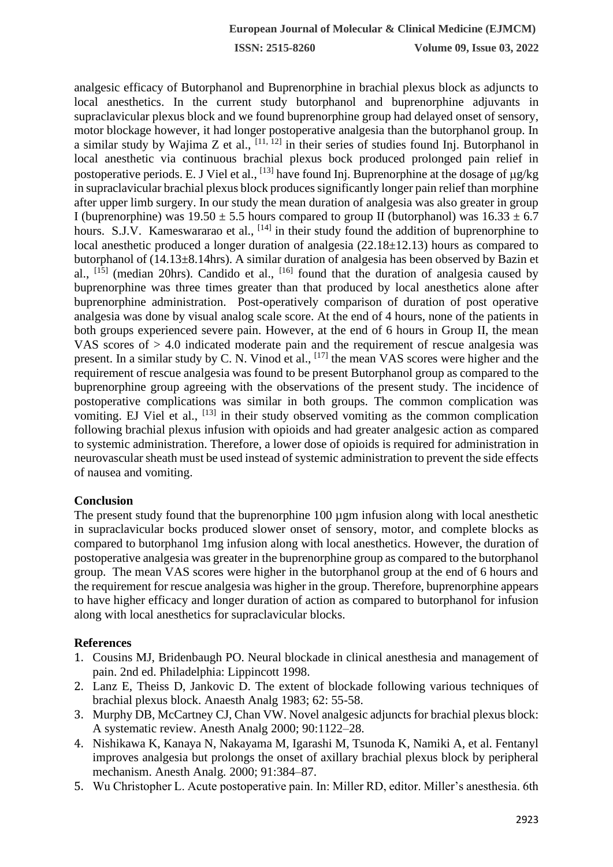**ISSN: 2515-8260 Volume 09, Issue 03, 2022**

analgesic efficacy of Butorphanol and Buprenorphine in brachial plexus block as adjuncts to local anesthetics. In the current study butorphanol and buprenorphine adjuvants in supraclavicular plexus block and we found buprenorphine group had delayed onset of sensory, motor blockage however, it had longer postoperative analgesia than the butorphanol group. In a similar study by Wajima Z et al.,  $[11, 12]$  in their series of studies found Inj. Butorphanol in local anesthetic via continuous brachial plexus bock produced prolonged pain relief in postoperative periods. E. J Viel et al.,  $^{[13]}$  have found Inj. Buprenorphine at the dosage of  $\mu$ g/kg in supraclavicular brachial plexus block produces significantly longer pain relief than morphine after upper limb surgery. In our study the mean duration of analgesia was also greater in group I (buprenorphine) was  $19.50 \pm 5.5$  hours compared to group II (butorphanol) was  $16.33 \pm 6.7$ hours. S.J.V. Kameswararao et al.,  $^{[14]}$  in their study found the addition of buprenorphine to local anesthetic produced a longer duration of analgesia (22.18 $\pm$ 12.13) hours as compared to butorphanol of (14.13±8.14hrs). A similar duration of analgesia has been observed by Bazin et al.,  $[15]$  (median 20hrs). Candido et al.,  $[16]$  found that the duration of analgesia caused by buprenorphine was three times greater than that produced by local anesthetics alone after buprenorphine administration. Post-operatively comparison of duration of post operative analgesia was done by visual analog scale score. At the end of 4 hours, none of the patients in both groups experienced severe pain. However, at the end of 6 hours in Group II, the mean VAS scores of > 4.0 indicated moderate pain and the requirement of rescue analgesia was present. In a similar study by C. N. Vinod et al., <sup>[17]</sup> the mean VAS scores were higher and the requirement of rescue analgesia was found to be present Butorphanol group as compared to the buprenorphine group agreeing with the observations of the present study. The incidence of postoperative complications was similar in both groups. The common complication was vomiting. EJ Viel et al., <sup>[13]</sup> in their study observed vomiting as the common complication following brachial plexus infusion with opioids and had greater analgesic action as compared to systemic administration. Therefore, a lower dose of opioids is required for administration in neurovascular sheath must be used instead of systemic administration to prevent the side effects of nausea and vomiting.

## **Conclusion**

The present study found that the buprenorphine 100 µgm infusion along with local anesthetic in supraclavicular bocks produced slower onset of sensory, motor, and complete blocks as compared to butorphanol 1mg infusion along with local anesthetics. However, the duration of postoperative analgesia was greater in the buprenorphine group as compared to the butorphanol group. The mean VAS scores were higher in the butorphanol group at the end of 6 hours and the requirement for rescue analgesia was higher in the group. Therefore, buprenorphine appears to have higher efficacy and longer duration of action as compared to butorphanol for infusion along with local anesthetics for supraclavicular blocks.

## **References**

- 1. Cousins MJ, Bridenbaugh PO. Neural blockade in clinical anesthesia and management of pain. 2nd ed. Philadelphia: Lippincott 1998.
- 2. Lanz E, Theiss D, Jankovic D. The extent of blockade following various techniques of brachial plexus block. Anaesth Analg 1983; 62: 55-58.
- 3. Murphy DB, McCartney CJ, Chan VW. Novel analgesic adjuncts for brachial plexus block: A systematic review. Anesth Analg 2000; 90:1122–28.
- 4. Nishikawa K, Kanaya N, Nakayama M, Igarashi M, Tsunoda K, Namiki A, et al. Fentanyl improves analgesia but prolongs the onset of axillary brachial plexus block by peripheral mechanism. Anesth Analg*.* 2000; 91:384–87.
- 5. Wu Christopher L. Acute postoperative pain. In: Miller RD, editor. Miller's anesthesia. 6th